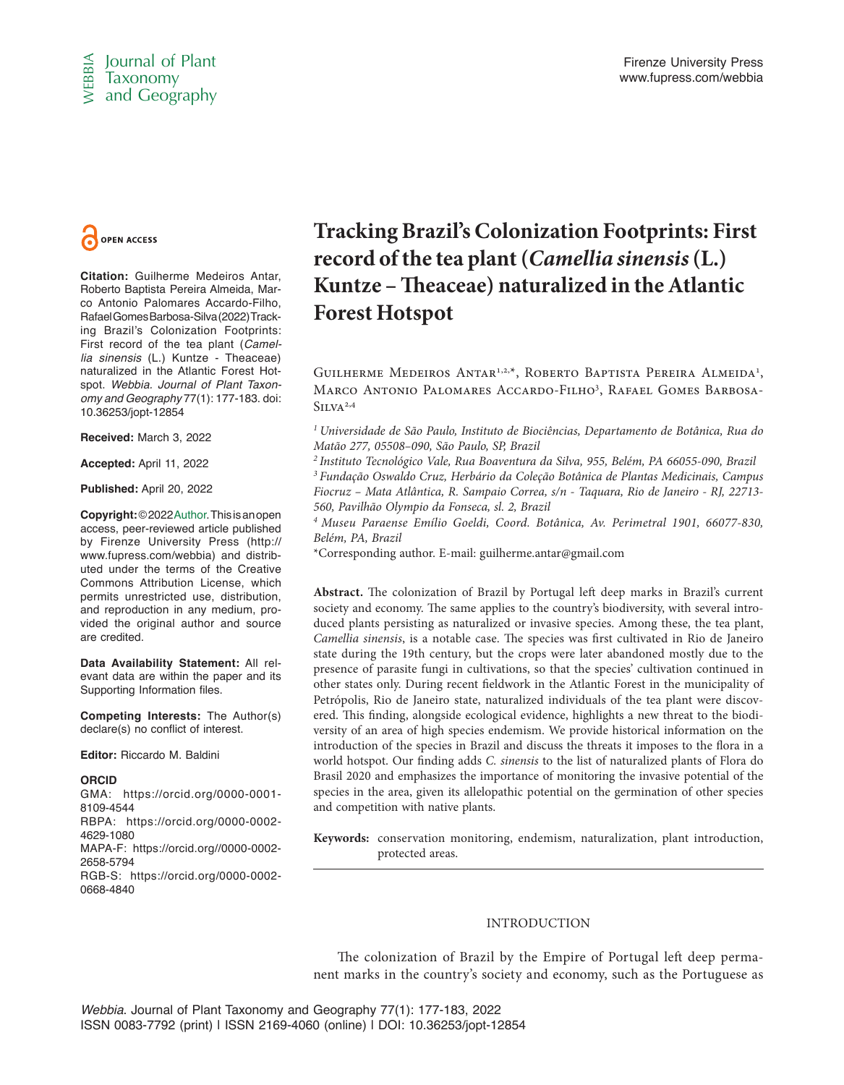



**Citation:** Guilherme Medeiros Antar, Roberto Baptista Pereira Almeida, Marco Antonio Palomares Accardo-Filho, Rafael Gomes Barbosa-Silva (2022) Tracking Brazil's Colonization Footprints: First record of the tea plant (*Camellia sinensis* (L.) Kuntze - Theaceae) naturalized in the Atlantic Forest Hotspot. *Webbia. Journal of Plant Taxonomy and Geography* 77(1): 177-183. doi: 10.36253/jopt-12854

**Received:** March 3, 2022

**Accepted:** April 11, 2022

**Published:** April 20, 2022

**Copyright:** © 2022 Author. This is an open access, peer-reviewed article published by Firenze University Press (http:// www.fupress.com/webbia) and distributed under the terms of the Creative Commons Attribution License, which permits unrestricted use, distribution, and reproduction in any medium, provided the original author and source are credited.

**Data Availability Statement:** All relevant data are within the paper and its Supporting Information files.

**Competing Interests:** The Author(s) declare(s) no conflict of interest.

**Editor:** Riccardo M. Baldini

# **ORCID**

GMA: https://orcid.org/0000-0001- 8109-4544 RBPA: https://orcid.org/0000-0002- 4629-1080

MAPA-F: https://orcid.org//0000-0002- 2658-5794

RGB-S: https://orcid.org/0000-0002- 0668-4840

# **Tracking Brazil's Colonization Footprints: First record of the tea plant (***Camellia sinensis* **(L.) Kuntze – Theaceae) naturalized in the Atlantic Forest Hotspot**

GUILHERME MEDEIROS ANTAR<sup>1,2,\*</sup>, ROBERTO BAPTISTA PEREIRA ALMEIDA<sup>1</sup>, MARCO ANTONIO PALOMARES ACCARDO-FILHO<sup>3</sup>, RAFAEL GOMES BARBOSA- $SILVA<sup>2,4</sup>$ 

*1 Universidade de São Paulo, Instituto de Biociências, Departamento de Botânica, Rua do Matão 277, 05508–090, São Paulo, SP, Brazil*

*2 Instituto Tecnológico Vale, Rua Boaventura da Silva, 955, Belém, PA 66055-090, Brazil 3 Fundação Oswaldo Cruz, Herbário da Coleção Botânica de Plantas Medicinais, Campus Fiocruz – Mata Atlântica, R. Sampaio Correa, s/n - Taquara, Rio de Janeiro - RJ, 22713- 560, Pavilhão Olympio da Fonseca, sl. 2, Brazil*

*4 Museu Paraense Emílio Goeldi, Coord. Botânica, Av. Perimetral 1901, 66077-830, Belém, PA, Brazil*

\*Corresponding author. E-mail: guilherme.antar@gmail.com

**Constrained**<br> **Coloring Brazil's Coloring Constrained Antarction Antarction Antarction Constrained Antarction Sphermatics (Scale Theorem Constrained Antarction Antarction Antarction Constrained Antarction (Separation Con Abstract.** The colonization of Brazil by Portugal left deep marks in Brazil's current society and economy. The same applies to the country's biodiversity, with several introduced plants persisting as naturalized or invasive species. Among these, the tea plant, *Camellia sinensis*, is a notable case. The species was first cultivated in Rio de Janeiro state during the 19th century, but the crops were later abandoned mostly due to the presence of parasite fungi in cultivations, so that the species' cultivation continued in other states only. During recent fieldwork in the Atlantic Forest in the municipality of Petrópolis, Rio de Janeiro state, naturalized individuals of the tea plant were discovered. This finding, alongside ecological evidence, highlights a new threat to the biodiversity of an area of high species endemism. We provide historical information on the introduction of the species in Brazil and discuss the threats it imposes to the flora in a world hotspot. Our finding adds *C. sinensis* to the list of naturalized plants of Flora do Brasil 2020 and emphasizes the importance of monitoring the invasive potential of the species in the area, given its allelopathic potential on the germination of other species and competition with native plants.

**Keywords:** conservation monitoring, endemism, naturalization, plant introduction, protected areas.

# INTRODUCTION

The colonization of Brazil by the Empire of Portugal left deep permanent marks in the country's society and economy, such as the Portuguese as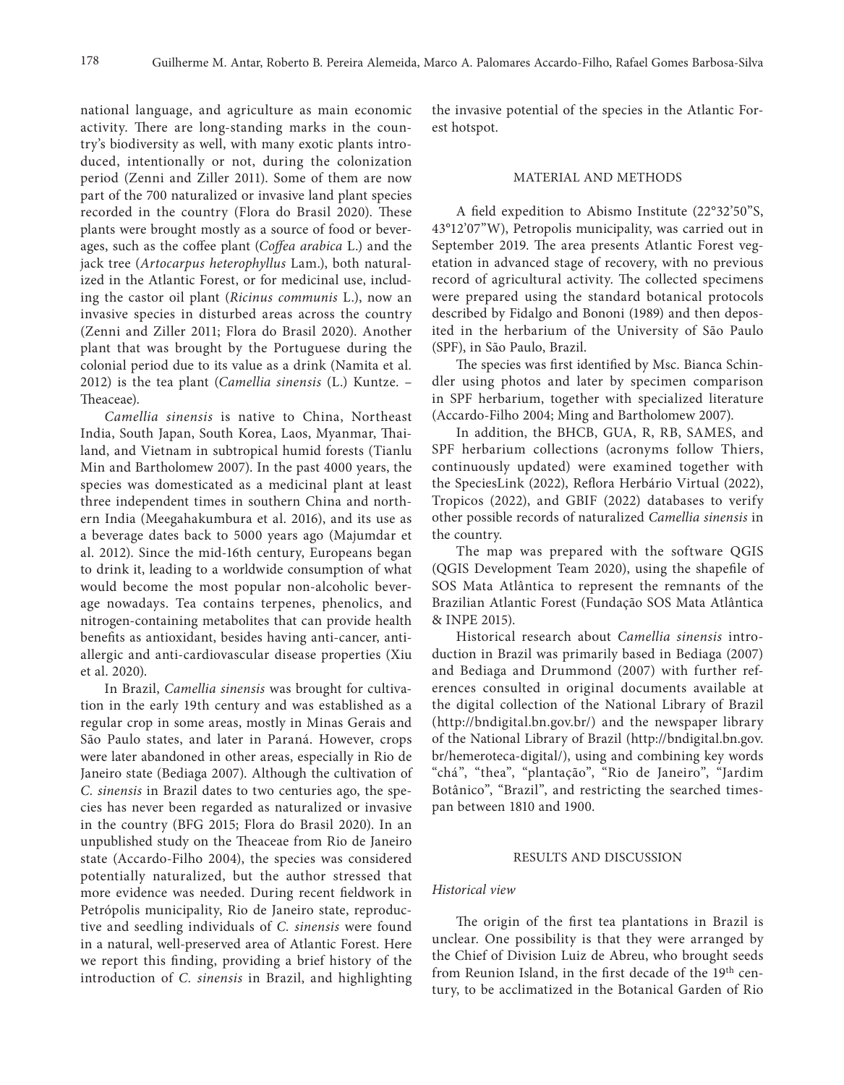national language, and agriculture as main economic activity. There are long-standing marks in the country's biodiversity as well, with many exotic plants introduced, intentionally or not, during the colonization period (Zenni and Ziller 2011). Some of them are now part of the 700 naturalized or invasive land plant species recorded in the country (Flora do Brasil 2020). These plants were brought mostly as a source of food or beverages, such as the coffee plant (*Coffea arabica* L.) and the jack tree (*Artocarpus heterophyllus* Lam.), both naturalized in the Atlantic Forest, or for medicinal use, including the castor oil plant (*Ricinus communis* L.), now an invasive species in disturbed areas across the country (Zenni and Ziller 2011; Flora do Brasil 2020). Another plant that was brought by the Portuguese during the colonial period due to its value as a drink (Namita et al*.* 2012) is the tea plant (*Camellia sinensis* (L.) Kuntze. – Theaceae).

*Camellia sinensis* is native to China, Northeast India, South Japan, South Korea, Laos, Myanmar, Thailand, and Vietnam in subtropical humid forests (Tianlu Min and Bartholomew 2007). In the past 4000 years, the species was domesticated as a medicinal plant at least three independent times in southern China and northern India (Meegahakumbura et al. 2016), and its use as a beverage dates back to 5000 years ago (Majumdar et al. 2012). Since the mid-16th century, Europeans began to drink it, leading to a worldwide consumption of what would become the most popular non-alcoholic beverage nowadays. Tea contains terpenes, phenolics, and nitrogen-containing metabolites that can provide health benefits as antioxidant, besides having anti-cancer, antiallergic and anti-cardiovascular disease properties (Xiu et al. 2020).

In Brazil, *Camellia sinensis* was brought for cultivation in the early 19th century and was established as a regular crop in some areas, mostly in Minas Gerais and São Paulo states, and later in Paraná. However, crops were later abandoned in other areas, especially in Rio de Janeiro state (Bediaga 2007). Although the cultivation of *C. sinensis* in Brazil dates to two centuries ago, the species has never been regarded as naturalized or invasive in the country (BFG 2015; Flora do Brasil 2020). In an unpublished study on the Theaceae from Rio de Janeiro state (Accardo-Filho 2004), the species was considered potentially naturalized, but the author stressed that more evidence was needed. During recent fieldwork in Petrópolis municipality, Rio de Janeiro state, reproductive and seedling individuals of *C. sinensis* were found in a natural, well-preserved area of Atlantic Forest. Here we report this finding, providing a brief history of the introduction of *C. sinensis* in Brazil, and highlighting

the invasive potential of the species in the Atlantic Forest hotspot.

# MATERIAL AND METHODS

A field expedition to Abismo Institute (22°32'50"S, 43°12'07"W), Petropolis municipality, was carried out in September 2019. The area presents Atlantic Forest vegetation in advanced stage of recovery, with no previous record of agricultural activity. The collected specimens were prepared using the standard botanical protocols described by Fidalgo and Bononi (1989) and then deposited in the herbarium of the University of São Paulo (SPF), in São Paulo, Brazil.

The species was first identified by Msc. Bianca Schindler using photos and later by specimen comparison in SPF herbarium, together with specialized literature (Accardo-Filho 2004; Ming and Bartholomew 2007).

In addition, the BHCB, GUA, R, RB, SAMES, and SPF herbarium collections (acronyms follow Thiers, continuously updated) were examined together with the SpeciesLink (2022), Reflora Herbário Virtual (2022), Tropicos (2022), and GBIF (2022) databases to verify other possible records of naturalized *Camellia sinensis* in the country.

The map was prepared with the software QGIS (QGIS Development Team 2020), using the shapefile of SOS Mata Atlântica to represent the remnants of the Brazilian Atlantic Forest (Fundação SOS Mata Atlântica & INPE 2015).

Historical research about *Camellia sinensis* introduction in Brazil was primarily based in Bediaga (2007) and Bediaga and Drummond (2007) with further references consulted in original documents available at the digital collection of the National Library of Brazil (http://bndigital.bn.gov.br/) and the newspaper library of the National Library of Brazil (http://bndigital.bn.gov. br/hemeroteca-digital/), using and combining key words "chá", "thea", "plantação", "Rio de Janeiro", "Jardim Botânico", "Brazil", and restricting the searched timespan between 1810 and 1900.

# RESULTS AND DISCUSSION

# *Historical view*

The origin of the first tea plantations in Brazil is unclear. One possibility is that they were arranged by the Chief of Division Luiz de Abreu, who brought seeds from Reunion Island, in the first decade of the 19<sup>th</sup> century, to be acclimatized in the Botanical Garden of Rio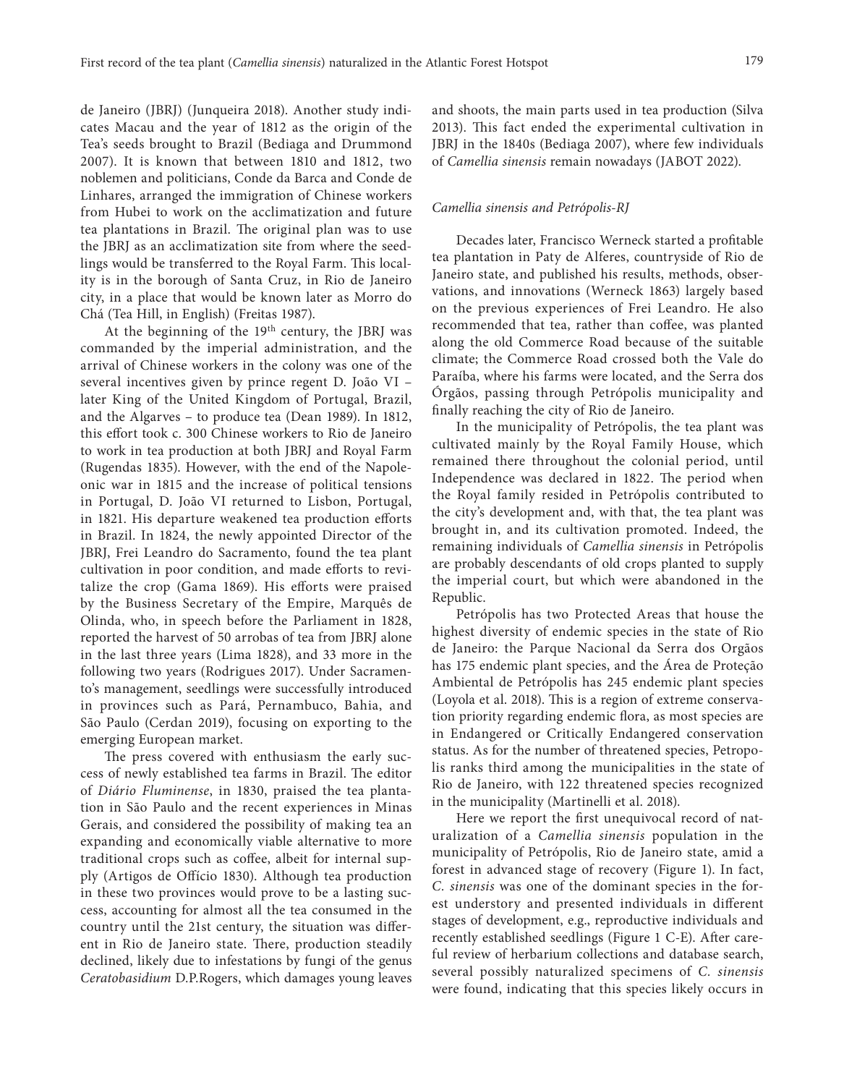de Janeiro (JBRJ) (Junqueira 2018). Another study indicates Macau and the year of 1812 as the origin of the Tea's seeds brought to Brazil (Bediaga and Drummond 2007). It is known that between 1810 and 1812, two noblemen and politicians, Conde da Barca and Conde de Linhares, arranged the immigration of Chinese workers from Hubei to work on the acclimatization and future tea plantations in Brazil. The original plan was to use the JBRJ as an acclimatization site from where the seedlings would be transferred to the Royal Farm. This locality is in the borough of Santa Cruz, in Rio de Janeiro city, in a place that would be known later as Morro do Chá (Tea Hill, in English) (Freitas 1987).

At the beginning of the 19<sup>th</sup> century, the JBRJ was commanded by the imperial administration, and the arrival of Chinese workers in the colony was one of the several incentives given by prince regent D. João VI – later King of the United Kingdom of Portugal, Brazil, and the Algarves – to produce tea (Dean 1989). In 1812, this effort took c. 300 Chinese workers to Rio de Janeiro to work in tea production at both JBRJ and Royal Farm (Rugendas 1835). However, with the end of the Napoleonic war in 1815 and the increase of political tensions in Portugal, D. João VI returned to Lisbon, Portugal, in 1821. His departure weakened tea production efforts in Brazil. In 1824, the newly appointed Director of the JBRJ, Frei Leandro do Sacramento, found the tea plant cultivation in poor condition, and made efforts to revitalize the crop (Gama 1869). His efforts were praised by the Business Secretary of the Empire, Marquês de Olinda, who, in speech before the Parliament in 1828, reported the harvest of 50 arrobas of tea from JBRJ alone in the last three years (Lima 1828), and 33 more in the following two years (Rodrigues 2017). Under Sacramento's management, seedlings were successfully introduced in provinces such as Pará, Pernambuco, Bahia, and São Paulo (Cerdan 2019), focusing on exporting to the emerging European market.

The press covered with enthusiasm the early success of newly established tea farms in Brazil. The editor of *Diário Fluminense*, in 1830, praised the tea plantation in São Paulo and the recent experiences in Minas Gerais, and considered the possibility of making tea an expanding and economically viable alternative to more traditional crops such as coffee, albeit for internal supply (Artigos de Offício 1830). Although tea production in these two provinces would prove to be a lasting success, accounting for almost all the tea consumed in the country until the 21st century, the situation was different in Rio de Janeiro state. There, production steadily declined, likely due to infestations by fungi of the genus *Ceratobasidium* D.P.Rogers, which damages young leaves

and shoots, the main parts used in tea production (Silva 2013). This fact ended the experimental cultivation in JBRJ in the 1840s (Bediaga 2007), where few individuals of *Camellia sinensis* remain nowadays (JABOT 2022).

#### *Camellia sinensis and Petrópolis-RJ*

Decades later, Francisco Werneck started a profitable tea plantation in Paty de Alferes, countryside of Rio de Janeiro state, and published his results, methods, observations, and innovations (Werneck 1863) largely based on the previous experiences of Frei Leandro. He also recommended that tea, rather than coffee, was planted along the old Commerce Road because of the suitable climate; the Commerce Road crossed both the Vale do Paraíba, where his farms were located, and the Serra dos Órgãos, passing through Petrópolis municipality and finally reaching the city of Rio de Janeiro.

In the municipality of Petrópolis, the tea plant was cultivated mainly by the Royal Family House, which remained there throughout the colonial period, until Independence was declared in 1822. The period when the Royal family resided in Petrópolis contributed to the city's development and, with that, the tea plant was brought in, and its cultivation promoted. Indeed, the remaining individuals of *Camellia sinensis* in Petrópolis are probably descendants of old crops planted to supply the imperial court, but which were abandoned in the Republic.

Petrópolis has two Protected Areas that house the highest diversity of endemic species in the state of Rio de Janeiro: the Parque Nacional da Serra dos Orgãos has 175 endemic plant species, and the Área de Proteção Ambiental de Petrópolis has 245 endemic plant species (Loyola et al. 2018). This is a region of extreme conservation priority regarding endemic flora, as most species are in Endangered or Critically Endangered conservation status. As for the number of threatened species, Petropolis ranks third among the municipalities in the state of Rio de Janeiro, with 122 threatened species recognized in the municipality (Martinelli et al. 2018).

Here we report the first unequivocal record of naturalization of a *Camellia sinensis* population in the municipality of Petrópolis, Rio de Janeiro state, amid a forest in advanced stage of recovery (Figure 1). In fact, *C. sinensis* was one of the dominant species in the forest understory and presented individuals in different stages of development, e.g., reproductive individuals and recently established seedlings (Figure 1 C-E). After careful review of herbarium collections and database search, several possibly naturalized specimens of *C. sinensis* were found, indicating that this species likely occurs in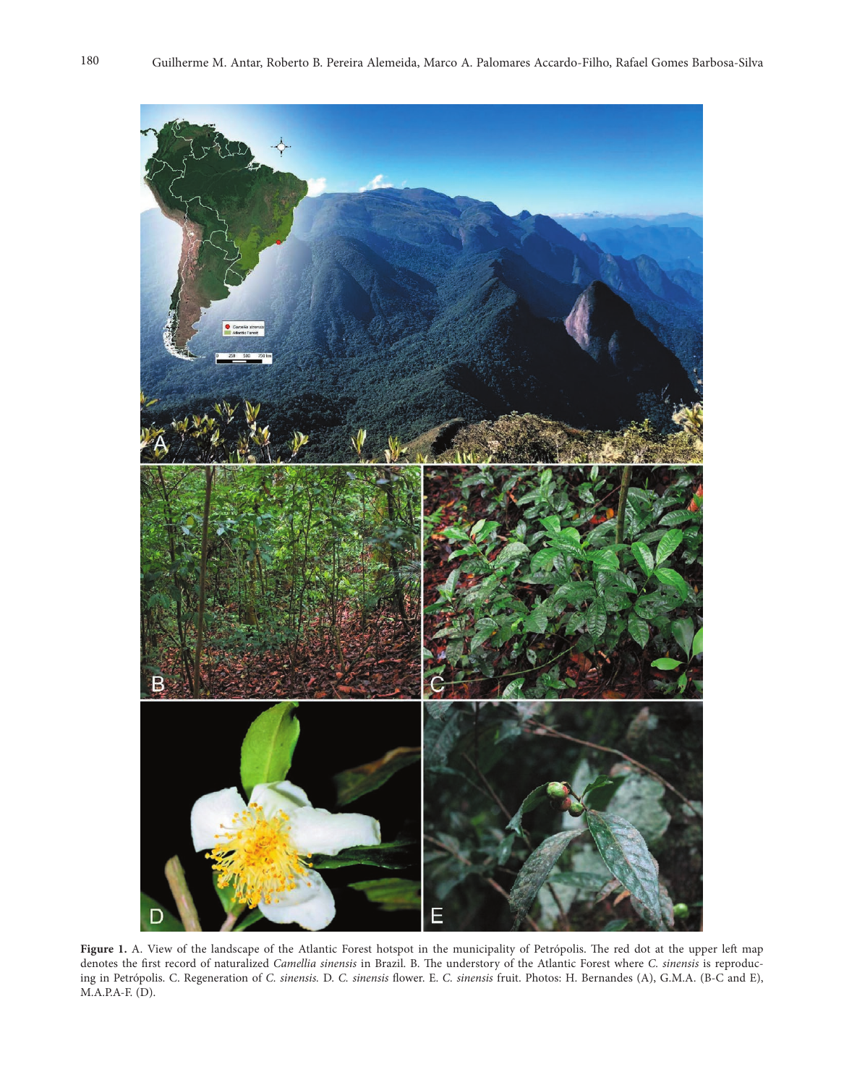

Figure 1. A. View of the landscape of the Atlantic Forest hotspot in the municipality of Petrópolis. The red dot at the upper left map denotes the first record of naturalized *Camellia sinensis* in Brazil. B. The understory of the Atlantic Forest where *C. sinensis* is reproducing in Petrópolis. C. Regeneration of *C. sinensis.* D. *C. sinensis* flower. E. *C. sinensis* fruit. Photos: H. Bernandes (A), G.M.A. (B-C and E), M.A.P.A-F. (D).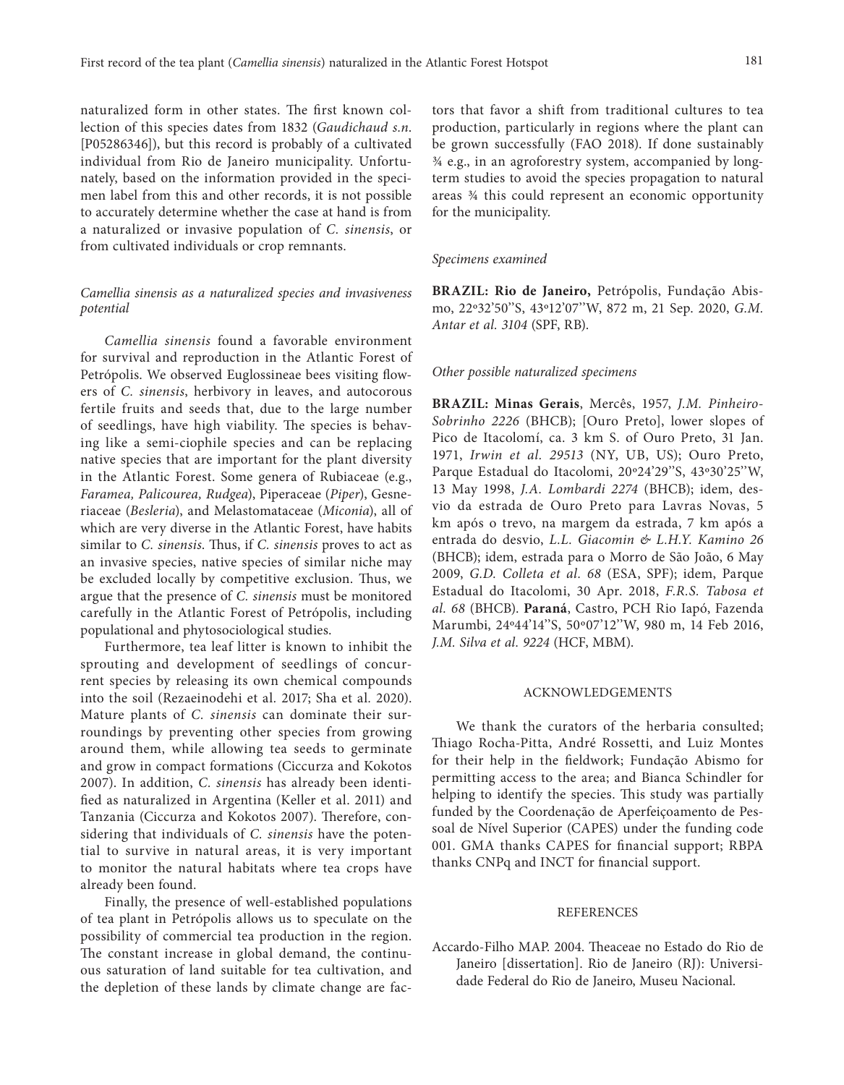naturalized form in other states. The first known collection of this species dates from 1832 (*Gaudichaud s.n*. [P05286346]), but this record is probably of a cultivated individual from Rio de Janeiro municipality. Unfortunately, based on the information provided in the specimen label from this and other records, it is not possible to accurately determine whether the case at hand is from a naturalized or invasive population of *C. sinensis*, or from cultivated individuals or crop remnants.

# *Camellia sinensis as a naturalized species and invasiveness potential*

*Camellia sinensis* found a favorable environment for survival and reproduction in the Atlantic Forest of Petrópolis. We observed Euglossineae bees visiting flowers of *C. sinensis*, herbivory in leaves, and autocorous fertile fruits and seeds that, due to the large number of seedlings, have high viability. The species is behaving like a semi-ciophile species and can be replacing native species that are important for the plant diversity in the Atlantic Forest. Some genera of Rubiaceae (e.g., *Faramea, Palicourea, Rudgea*), Piperaceae (*Piper*), Gesneriaceae (*Besleria*), and Melastomataceae (*Miconia*), all of which are very diverse in the Atlantic Forest, have habits similar to *C. sinensis*. Thus, if *C. sinensis* proves to act as an invasive species, native species of similar niche may be excluded locally by competitive exclusion. Thus, we argue that the presence of *C. sinensis* must be monitored carefully in the Atlantic Forest of Petrópolis, including populational and phytosociological studies.

Furthermore, tea leaf litter is known to inhibit the sprouting and development of seedlings of concurrent species by releasing its own chemical compounds into the soil (Rezaeinodehi et al*.* 2017; Sha et al*.* 2020). Mature plants of *C. sinensis* can dominate their surroundings by preventing other species from growing around them, while allowing tea seeds to germinate and grow in compact formations (Ciccurza and Kokotos 2007). In addition, *C. sinensis* has already been identified as naturalized in Argentina (Keller et al. 2011) and Tanzania (Ciccurza and Kokotos 2007). Therefore, considering that individuals of *C. sinensis* have the potential to survive in natural areas, it is very important to monitor the natural habitats where tea crops have already been found.

Finally, the presence of well-established populations of tea plant in Petrópolis allows us to speculate on the possibility of commercial tea production in the region. The constant increase in global demand, the continuous saturation of land suitable for tea cultivation, and the depletion of these lands by climate change are factors that favor a shift from traditional cultures to tea production, particularly in regions where the plant can be grown successfully (FAO 2018). If done sustainably ¾ e.g., in an agroforestry system, accompanied by longterm studies to avoid the species propagation to natural areas ¾ this could represent an economic opportunity for the municipality.

#### *Specimens examined*

**BRAZIL: Rio de Janeiro,** Petrópolis, Fundação Abismo, 22º32'50''S, 43º12'07''W, 872 m, 21 Sep. 2020, *G.M. Antar et al. 3104* (SPF, RB).

# *Other possible naturalized specimens*

**BRAZIL: Minas Gerais**, Mercês, 1957, *J.M. Pinheiro-Sobrinho 2226* (BHCB); [Ouro Preto], lower slopes of Pico de Itacolomí, ca. 3 km S. of Ouro Preto, 31 Jan. 1971, *Irwin et al. 29513* (NY, UB, US); Ouro Preto, Parque Estadual do Itacolomi, 20º24'29''S, 43º30'25''W, 13 May 1998, *J.A. Lombardi 2274* (BHCB); idem, desvio da estrada de Ouro Preto para Lavras Novas, 5 km após o trevo, na margem da estrada, 7 km após a entrada do desvio, *L.L. Giacomin & L.H.Y. Kamino 26* (BHCB); idem, estrada para o Morro de São João, 6 May 2009, *G.D. Colleta et al. 68* (ESA, SPF); idem, Parque Estadual do Itacolomi, 30 Apr. 2018, *F.R.S. Tabosa et al. 68* (BHCB). **Paraná**, Castro, PCH Rio Iapó, Fazenda Marumbi, 24º44'14''S, 50º07'12''W, 980 m, 14 Feb 2016, *J.M. Silva et al. 9224* (HCF, MBM).

# ACKNOWLEDGEMENTS

We thank the curators of the herbaria consulted; Thiago Rocha-Pitta, André Rossetti, and Luiz Montes for their help in the fieldwork; Fundação Abismo for permitting access to the area; and Bianca Schindler for helping to identify the species. This study was partially funded by the Coordenação de Aperfeiçoamento de Pessoal de Nível Superior (CAPES) under the funding code 001. GMA thanks CAPES for financial support; RBPA thanks CNPq and INCT for financial support.

# **REFERENCES**

Accardo-Filho MAP. 2004. Theaceae no Estado do Rio de Janeiro [dissertation]. Rio de Janeiro (RJ): Universidade Federal do Rio de Janeiro, Museu Nacional.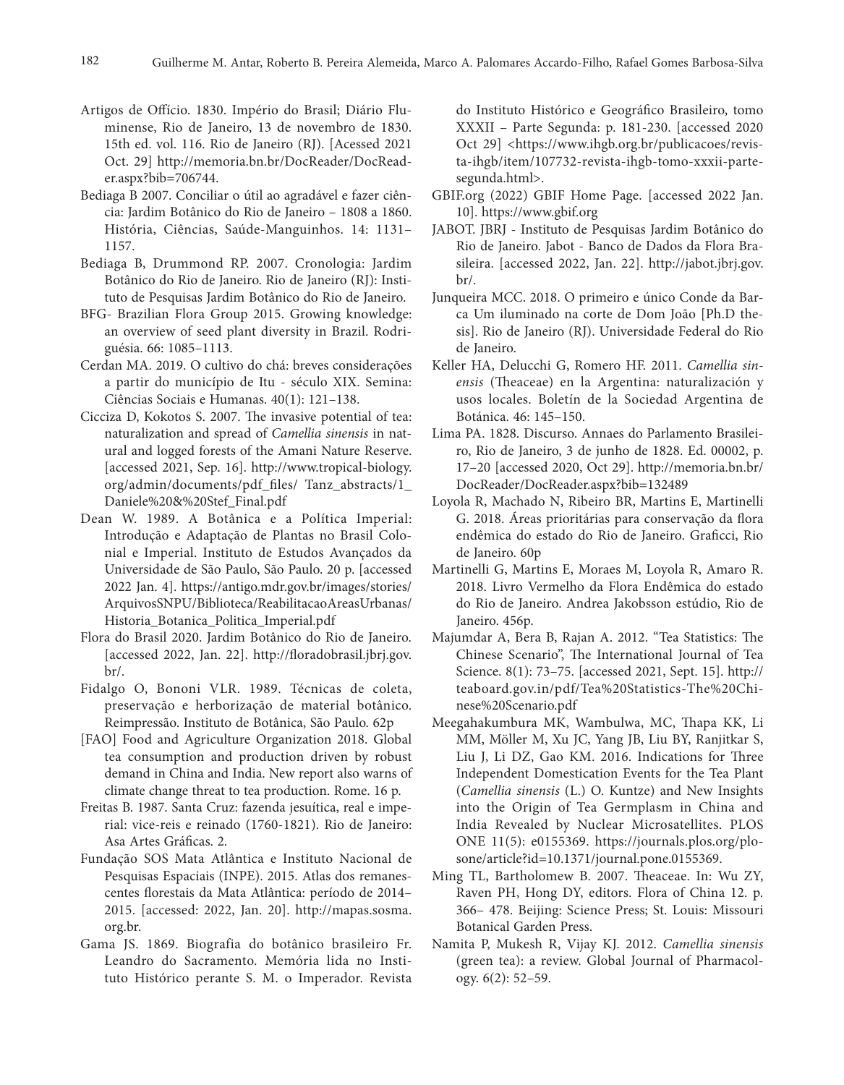- Artigos de Offício. 1830. Império do Brasil; Diário Fluminense, Rio de Janeiro, 13 de novembro de 1830. 15th ed. vol. 116. Rio de Janeiro (RJ). [Acessed 2021 Oct. 29] http://memoria.bn.br/DocReader/DocReader.aspx?bib=706744.
- Bediaga B 2007. Conciliar o útil ao agradável e fazer ciência: Jardim Botânico do Rio de Janeiro – 1808 a 1860. História, Ciências, Saúde-Manguinhos. 14: 1131– 1157.
- Bediaga B, Drummond RP. 2007. Cronologia: Jardim Botânico do Rio de Janeiro. Rio de Janeiro (RJ): Instituto de Pesquisas Jardim Botânico do Rio de Janeiro.
- BFG- Brazilian Flora Group 2015. Growing knowledge: an overview of seed plant diversity in Brazil. Rodriguésia. 66: 1085–1113.
- Cerdan MA. 2019. O cultivo do chá: breves considerações a partir do município de Itu - século XIX. Semina: Ciências Sociais e Humanas. 40(1): 121–138.
- Cicciza D, Kokotos S. 2007. The invasive potential of tea: naturalization and spread of *Camellia sinensis* in natural and logged forests of the Amani Nature Reserve. [accessed 2021, Sep. 16]. http://www.tropical-biology. org/admin/documents/pdf\_files/ Tanz\_abstracts/1\_ Daniele%20&%20Stef\_Final.pdf
- Dean W. 1989. A Botânica e a Política Imperial: Introdução e Adaptação de Plantas no Brasil Colonial e Imperial. Instituto de Estudos Avançados da Universidade de São Paulo, São Paulo. 20 p. [accessed 2022 Jan. 4]. https://antigo.mdr.gov.br/images/stories/ ArquivosSNPU/Biblioteca/ReabilitacaoAreasUrbanas/ Historia\_Botanica\_Politica\_Imperial.pdf
- Flora do Brasil 2020. Jardim Botânico do Rio de Janeiro. [accessed 2022, Jan. 22]. http://floradobrasil.jbrj.gov. br/.
- Fidalgo O, Bononi VLR. 1989. Técnicas de coleta, preservação e herborização de material botânico. Reimpressão. Instituto de Botânica, São Paulo. 62p
- [FAO] Food and Agriculture Organization 2018. Global tea consumption and production driven by robust demand in China and India. New report also warns of climate change threat to tea production. Rome. 16 p.
- Freitas B. 1987. Santa Cruz: fazenda jesuítica, real e imperial: vice-reis e reinado (1760-1821). Rio de Janeiro: Asa Artes Gráficas. 2.
- Fundação SOS Mata Atlântica e Instituto Nacional de Pesquisas Espaciais (INPE). 2015. Atlas dos remanescentes florestais da Mata Atlântica: período de 2014– 2015. [accessed: 2022, Jan. 20]. http://mapas.sosma. org.br.
- Gama JS. 1869. Biografia do botânico brasileiro Fr. Leandro do Sacramento. Memória lida no Instituto Histórico perante S. M. o Imperador. Revista

do Instituto Histórico e Geográfico Brasileiro, tomo XXXII – Parte Segunda: p. 181-230. [accessed 2020 Oct 29] <https://www.ihgb.org.br/publicacoes/revista-ihgb/item/107732-revista-ihgb-tomo-xxxii-partesegunda.html>.

- GBIF.org (2022) GBIF Home Page. [accessed 2022 Jan. 10]. https://www.gbif.org
- JABOT. JBRJ Instituto de Pesquisas Jardim Botânico do Rio de Janeiro. Jabot - Banco de Dados da Flora Brasileira. [accessed 2022, Jan. 22]. http://jabot.jbrj.gov. br/.
- Junqueira MCC. 2018. O primeiro e único Conde da Barca Um iluminado na corte de Dom João [Ph.D thesis]. Rio de Janeiro (RJ). Universidade Federal do Rio de Janeiro.
- Keller HA, Delucchi G, Romero HF. 2011. *Camellia sinensis* (Theaceae) en la Argentina: naturalización y usos locales. Boletín de la Sociedad Argentina de Botánica. 46: 145–150.
- Lima PA. 1828. Discurso. Annaes do Parlamento Brasileiro, Rio de Janeiro, 3 de junho de 1828. Ed. 00002, p. 17–20 [accessed 2020, Oct 29]. http://memoria.bn.br/ DocReader/DocReader.aspx?bib=132489
- Loyola R, Machado N, Ribeiro BR, Martins E, Martinelli G. 2018. Áreas prioritárias para conservação da flora endêmica do estado do Rio de Janeiro. Graficci, Rio de Janeiro. 60p
- Martinelli G, Martins E, Moraes M, Loyola R, Amaro R. 2018. Livro Vermelho da Flora Endêmica do estado do Rio de Janeiro. Andrea Jakobsson estúdio, Rio de Janeiro. 456p.
- Majumdar A, Bera B, Rajan A. 2012. "Tea Statistics: The Chinese Scenario", The International Journal of Tea Science. 8(1): 73–75. [accessed 2021, Sept. 15]. http:// teaboard.gov.in/pdf/Tea%20Statistics-The%20Chinese%20Scenario.pdf
- Meegahakumbura MK, Wambulwa, MC, Thapa KK, Li MM, Möller M, Xu JC, Yang JB, Liu BY, Ranjitkar S, Liu J, Li DZ, Gao KM. 2016. Indications for Three Independent Domestication Events for the Tea Plant (*Camellia sinensis* (L.) O. Kuntze) and New Insights into the Origin of Tea Germplasm in China and India Revealed by Nuclear Microsatellites. PLOS ONE 11(5): e0155369. https://journals.plos.org/plosone/article?id=10.1371/journal.pone.0155369.
- Ming TL, Bartholomew B. 2007. Theaceae. In: Wu ZY, Raven PH, Hong DY, editors. Flora of China 12. p. 366– 478. Beijing: Science Press; St. Louis: Missouri Botanical Garden Press.
- Namita P, Mukesh R, Vijay KJ. 2012. *Camellia sinensis* (green tea): a review. Global Journal of Pharmacology. 6(2): 52–59.